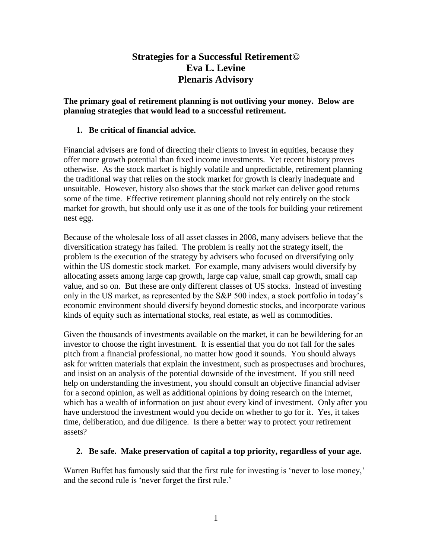# **Strategies for a Successful Retirement© Eva L. Levine Plenaris Advisory**

**The primary goal of retirement planning is not outliving your money. Below are planning strategies that would lead to a successful retirement.**

#### **1. Be critical of financial advice.**

Financial advisers are fond of directing their clients to invest in equities, because they offer more growth potential than fixed income investments. Yet recent history proves otherwise. As the stock market is highly volatile and unpredictable, retirement planning the traditional way that relies on the stock market for growth is clearly inadequate and unsuitable. However, history also shows that the stock market can deliver good returns some of the time. Effective retirement planning should not rely entirely on the stock market for growth, but should only use it as one of the tools for building your retirement nest egg.

Because of the wholesale loss of all asset classes in 2008, many advisers believe that the diversification strategy has failed. The problem is really not the strategy itself, the problem is the execution of the strategy by advisers who focused on diversifying only within the US domestic stock market. For example, many advisers would diversify by allocating assets among large cap growth, large cap value, small cap growth, small cap value, and so on. But these are only different classes of US stocks. Instead of investing only in the US market, as represented by the S&P 500 index, a stock portfolio in today's economic environment should diversify beyond domestic stocks, and incorporate various kinds of equity such as international stocks, real estate, as well as commodities.

Given the thousands of investments available on the market, it can be bewildering for an investor to choose the right investment. It is essential that you do not fall for the sales pitch from a financial professional, no matter how good it sounds. You should always ask for written materials that explain the investment, such as prospectuses and brochures, and insist on an analysis of the potential downside of the investment. If you still need help on understanding the investment, you should consult an objective financial adviser for a second opinion, as well as additional opinions by doing research on the internet, which has a wealth of information on just about every kind of investment. Only after you have understood the investment would you decide on whether to go for it. Yes, it takes time, deliberation, and due diligence. Is there a better way to protect your retirement assets?

#### **2. Be safe. Make preservation of capital a top priority, regardless of your age.**

Warren Buffet has famously said that the first rule for investing is 'never to lose money,' and the second rule is 'never forget the first rule.'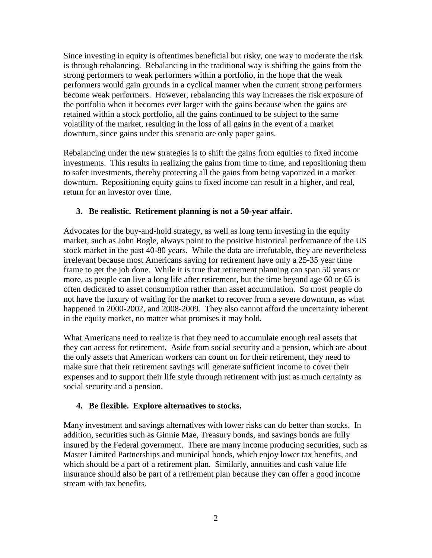Since investing in equity is oftentimes beneficial but risky, one way to moderate the risk is through rebalancing. Rebalancing in the traditional way is shifting the gains from the strong performers to weak performers within a portfolio, in the hope that the weak performers would gain grounds in a cyclical manner when the current strong performers become weak performers. However, rebalancing this way increases the risk exposure of the portfolio when it becomes ever larger with the gains because when the gains are retained within a stock portfolio, all the gains continued to be subject to the same volatility of the market, resulting in the loss of all gains in the event of a market downturn, since gains under this scenario are only paper gains.

Rebalancing under the new strategies is to shift the gains from equities to fixed income investments. This results in realizing the gains from time to time, and repositioning them to safer investments, thereby protecting all the gains from being vaporized in a market downturn. Repositioning equity gains to fixed income can result in a higher, and real, return for an investor over time.

### **3. Be realistic. Retirement planning is not a 50-year affair.**

Advocates for the buy-and-hold strategy, as well as long term investing in the equity market, such as John Bogle, always point to the positive historical performance of the US stock market in the past 40-80 years. While the data are irrefutable, they are nevertheless irrelevant because most Americans saving for retirement have only a 25-35 year time frame to get the job done. While it is true that retirement planning can span 50 years or more, as people can live a long life after retirement, but the time beyond age 60 or 65 is often dedicated to asset consumption rather than asset accumulation. So most people do not have the luxury of waiting for the market to recover from a severe downturn, as what happened in 2000-2002, and 2008-2009. They also cannot afford the uncertainty inherent in the equity market, no matter what promises it may hold.

What Americans need to realize is that they need to accumulate enough real assets that they can access for retirement. Aside from social security and a pension, which are about the only assets that American workers can count on for their retirement, they need to make sure that their retirement savings will generate sufficient income to cover their expenses and to support their life style through retirement with just as much certainty as social security and a pension.

### **4. Be flexible. Explore alternatives to stocks.**

Many investment and savings alternatives with lower risks can do better than stocks. In addition, securities such as Ginnie Mae, Treasury bonds, and savings bonds are fully insured by the Federal government. There are many income producing securities, such as Master Limited Partnerships and municipal bonds, which enjoy lower tax benefits, and which should be a part of a retirement plan. Similarly, annuities and cash value life insurance should also be part of a retirement plan because they can offer a good income stream with tax benefits.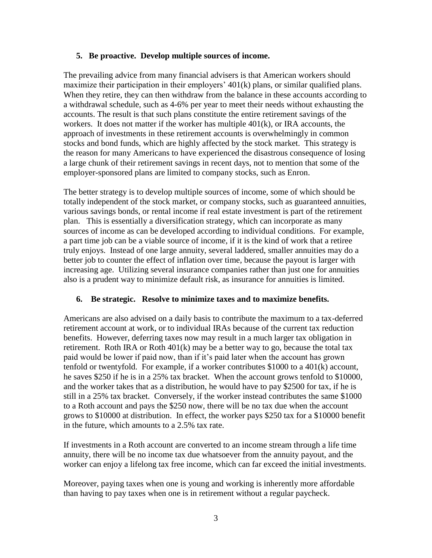#### **5. Be proactive. Develop multiple sources of income.**

The prevailing advice from many financial advisers is that American workers should maximize their participation in their employers' 401(k) plans, or similar qualified plans. When they retire, they can then withdraw from the balance in these accounts according to a withdrawal schedule, such as 4-6% per year to meet their needs without exhausting the accounts. The result is that such plans constitute the entire retirement savings of the workers. It does not matter if the worker has multiple 401(k), or IRA accounts, the approach of investments in these retirement accounts is overwhelmingly in common stocks and bond funds, which are highly affected by the stock market. This strategy is the reason for many Americans to have experienced the disastrous consequence of losing a large chunk of their retirement savings in recent days, not to mention that some of the employer-sponsored plans are limited to company stocks, such as Enron.

The better strategy is to develop multiple sources of income, some of which should be totally independent of the stock market, or company stocks, such as guaranteed annuities, various savings bonds, or rental income if real estate investment is part of the retirement plan. This is essentially a diversification strategy, which can incorporate as many sources of income as can be developed according to individual conditions. For example, a part time job can be a viable source of income, if it is the kind of work that a retiree truly enjoys. Instead of one large annuity, several laddered, smaller annuities may do a better job to counter the effect of inflation over time, because the payout is larger with increasing age. Utilizing several insurance companies rather than just one for annuities also is a prudent way to minimize default risk, as insurance for annuities is limited.

#### **6. Be strategic. Resolve to minimize taxes and to maximize benefits.**

Americans are also advised on a daily basis to contribute the maximum to a tax-deferred retirement account at work, or to individual IRAs because of the current tax reduction benefits. However, deferring taxes now may result in a much larger tax obligation in retirement. Roth IRA or Roth  $401(k)$  may be a better way to go, because the total tax paid would be lower if paid now, than if it's paid later when the account has grown tenfold or twentyfold. For example, if a worker contributes \$1000 to a 401(k) account, he saves \$250 if he is in a 25% tax bracket. When the account grows tenfold to \$10000, and the worker takes that as a distribution, he would have to pay \$2500 for tax, if he is still in a 25% tax bracket. Conversely, if the worker instead contributes the same \$1000 to a Roth account and pays the \$250 now, there will be no tax due when the account grows to \$10000 at distribution. In effect, the worker pays \$250 tax for a \$10000 benefit in the future, which amounts to a 2.5% tax rate.

If investments in a Roth account are converted to an income stream through a life time annuity, there will be no income tax due whatsoever from the annuity payout, and the worker can enjoy a lifelong tax free income, which can far exceed the initial investments.

Moreover, paying taxes when one is young and working is inherently more affordable than having to pay taxes when one is in retirement without a regular paycheck.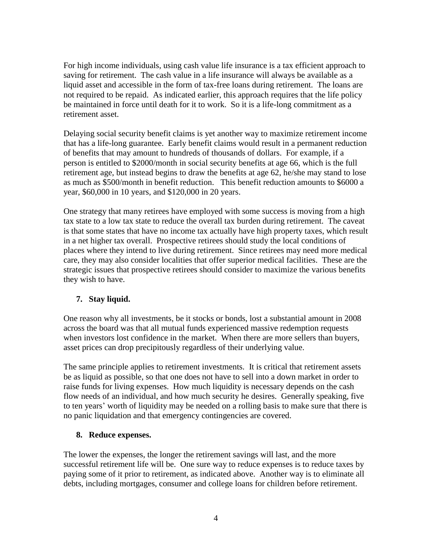For high income individuals, using cash value life insurance is a tax efficient approach to saving for retirement. The cash value in a life insurance will always be available as a liquid asset and accessible in the form of tax-free loans during retirement. The loans are not required to be repaid. As indicated earlier, this approach requires that the life policy be maintained in force until death for it to work. So it is a life-long commitment as a retirement asset.

Delaying social security benefit claims is yet another way to maximize retirement income that has a life-long guarantee. Early benefit claims would result in a permanent reduction of benefits that may amount to hundreds of thousands of dollars. For example, if a person is entitled to \$2000/month in social security benefits at age 66, which is the full retirement age, but instead begins to draw the benefits at age 62, he/she may stand to lose as much as \$500/month in benefit reduction. This benefit reduction amounts to \$6000 a year, \$60,000 in 10 years, and \$120,000 in 20 years.

One strategy that many retirees have employed with some success is moving from a high tax state to a low tax state to reduce the overall tax burden during retirement. The caveat is that some states that have no income tax actually have high property taxes, which result in a net higher tax overall. Prospective retirees should study the local conditions of places where they intend to live during retirement. Since retirees may need more medical care, they may also consider localities that offer superior medical facilities. These are the strategic issues that prospective retirees should consider to maximize the various benefits they wish to have.

### **7. Stay liquid.**

One reason why all investments, be it stocks or bonds, lost a substantial amount in 2008 across the board was that all mutual funds experienced massive redemption requests when investors lost confidence in the market. When there are more sellers than buyers, asset prices can drop precipitously regardless of their underlying value.

The same principle applies to retirement investments. It is critical that retirement assets be as liquid as possible, so that one does not have to sell into a down market in order to raise funds for living expenses. How much liquidity is necessary depends on the cash flow needs of an individual, and how much security he desires. Generally speaking, five to ten years' worth of liquidity may be needed on a rolling basis to make sure that there is no panic liquidation and that emergency contingencies are covered.

#### **8. Reduce expenses.**

The lower the expenses, the longer the retirement savings will last, and the more successful retirement life will be. One sure way to reduce expenses is to reduce taxes by paying some of it prior to retirement, as indicated above. Another way is to eliminate all debts, including mortgages, consumer and college loans for children before retirement.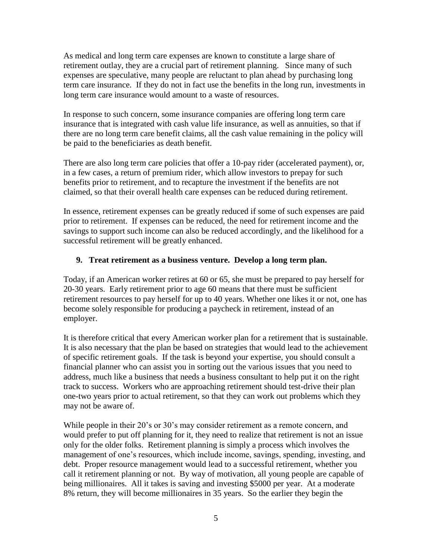As medical and long term care expenses are known to constitute a large share of retirement outlay, they are a crucial part of retirement planning. Since many of such expenses are speculative, many people are reluctant to plan ahead by purchasing long term care insurance. If they do not in fact use the benefits in the long run, investments in long term care insurance would amount to a waste of resources.

In response to such concern, some insurance companies are offering long term care insurance that is integrated with cash value life insurance, as well as annuities, so that if there are no long term care benefit claims, all the cash value remaining in the policy will be paid to the beneficiaries as death benefit.

There are also long term care policies that offer a 10-pay rider (accelerated payment), or, in a few cases, a return of premium rider, which allow investors to prepay for such benefits prior to retirement, and to recapture the investment if the benefits are not claimed, so that their overall health care expenses can be reduced during retirement.

In essence, retirement expenses can be greatly reduced if some of such expenses are paid prior to retirement. If expenses can be reduced, the need for retirement income and the savings to support such income can also be reduced accordingly, and the likelihood for a successful retirement will be greatly enhanced.

#### **9. Treat retirement as a business venture. Develop a long term plan.**

Today, if an American worker retires at 60 or 65, she must be prepared to pay herself for 20-30 years. Early retirement prior to age 60 means that there must be sufficient retirement resources to pay herself for up to 40 years. Whether one likes it or not, one has become solely responsible for producing a paycheck in retirement, instead of an employer.

It is therefore critical that every American worker plan for a retirement that is sustainable. It is also necessary that the plan be based on strategies that would lead to the achievement of specific retirement goals. If the task is beyond your expertise, you should consult a financial planner who can assist you in sorting out the various issues that you need to address, much like a business that needs a business consultant to help put it on the right track to success. Workers who are approaching retirement should test-drive their plan one-two years prior to actual retirement, so that they can work out problems which they may not be aware of.

While people in their 20's or 30's may consider retirement as a remote concern, and would prefer to put off planning for it, they need to realize that retirement is not an issue only for the older folks. Retirement planning is simply a process which involves the management of one's resources, which include income, savings, spending, investing, and debt. Proper resource management would lead to a successful retirement, whether you call it retirement planning or not. By way of motivation, all young people are capable of being millionaires. All it takes is saving and investing \$5000 per year. At a moderate 8% return, they will become millionaires in 35 years. So the earlier they begin the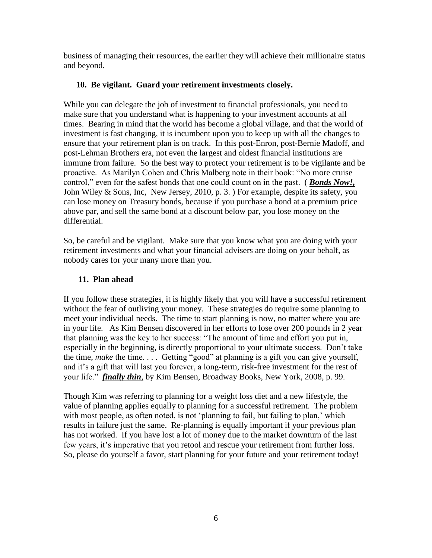business of managing their resources, the earlier they will achieve their millionaire status and beyond.

### **10. Be vigilant. Guard your retirement investments closely.**

While you can delegate the job of investment to financial professionals, you need to make sure that you understand what is happening to your investment accounts at all times. Bearing in mind that the world has become a global village, and that the world of investment is fast changing, it is incumbent upon you to keep up with all the changes to ensure that your retirement plan is on track. In this post-Enron, post-Bernie Madoff, and post-Lehman Brothers era, not even the largest and oldest financial institutions are immune from failure. So the best way to protect your retirement is to be vigilante and be proactive. As Marilyn Cohen and Chris Malberg note in their book: "No more cruise control," even for the safest bonds that one could count on in the past. ( *Bonds Now!,* John Wiley & Sons, Inc, New Jersey, 2010, p. 3. ) For example, despite its safety, you can lose money on Treasury bonds, because if you purchase a bond at a premium price above par, and sell the same bond at a discount below par, you lose money on the differential.

So, be careful and be vigilant. Make sure that you know what you are doing with your retirement investments and what your financial advisers are doing on your behalf, as nobody cares for your many more than you.

# **11. Plan ahead**

If you follow these strategies, it is highly likely that you will have a successful retirement without the fear of outliving your money. These strategies do require some planning to meet your individual needs. The time to start planning is now, no matter where you are in your life. As Kim Bensen discovered in her efforts to lose over 200 pounds in 2 year that planning was the key to her success: "The amount of time and effort you put in, especially in the beginning, is directly proportional to your ultimate success. Don't take the time, *make* the time. . . . Getting "good" at planning is a gift you can give yourself, and it's a gift that will last you forever, a long-term, risk-free investment for the rest of your life." *finally thin*, by Kim Bensen, Broadway Books, New York, 2008, p. 99.

Though Kim was referring to planning for a weight loss diet and a new lifestyle, the value of planning applies equally to planning for a successful retirement. The problem with most people, as often noted, is not 'planning to fail, but failing to plan,' which results in failure just the same. Re-planning is equally important if your previous plan has not worked. If you have lost a lot of money due to the market downturn of the last few years, it's imperative that you retool and rescue your retirement from further loss. So, please do yourself a favor, start planning for your future and your retirement today!